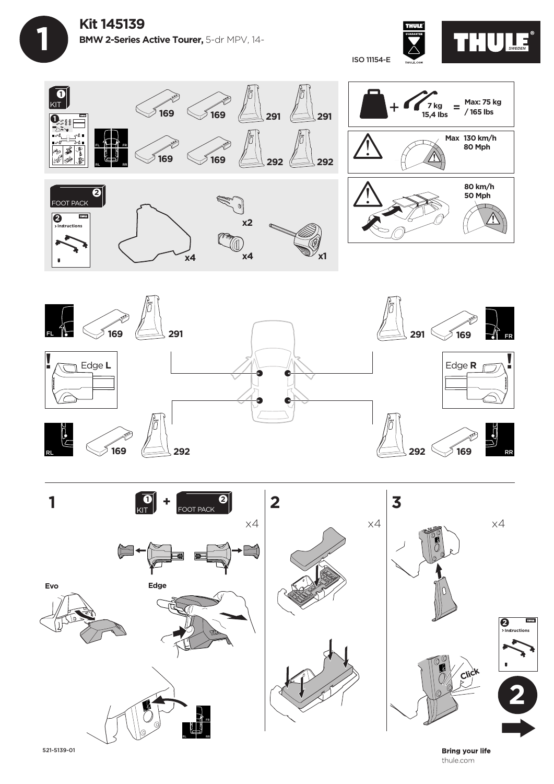









521-5139-01

**Bring your life** thule.com